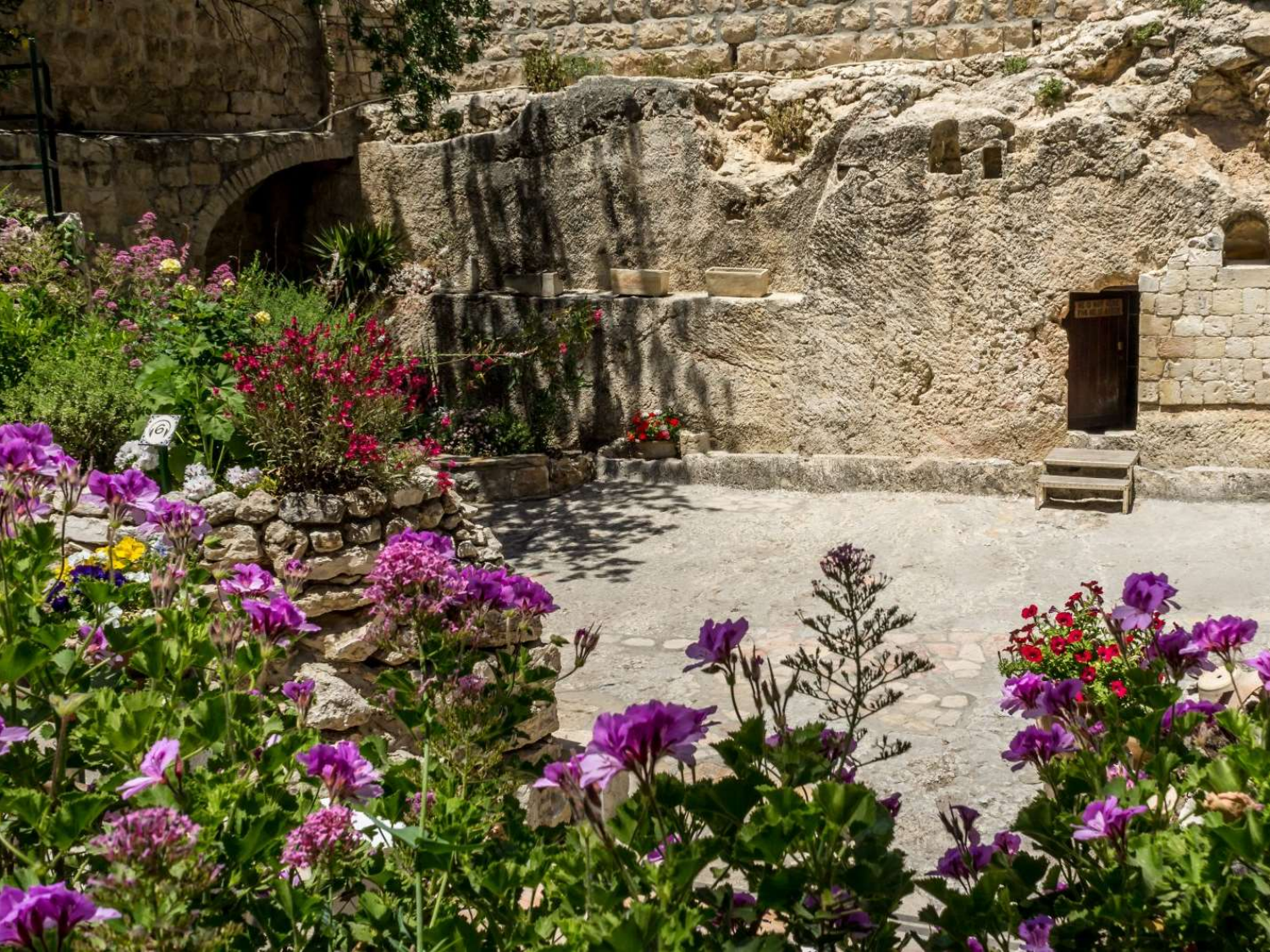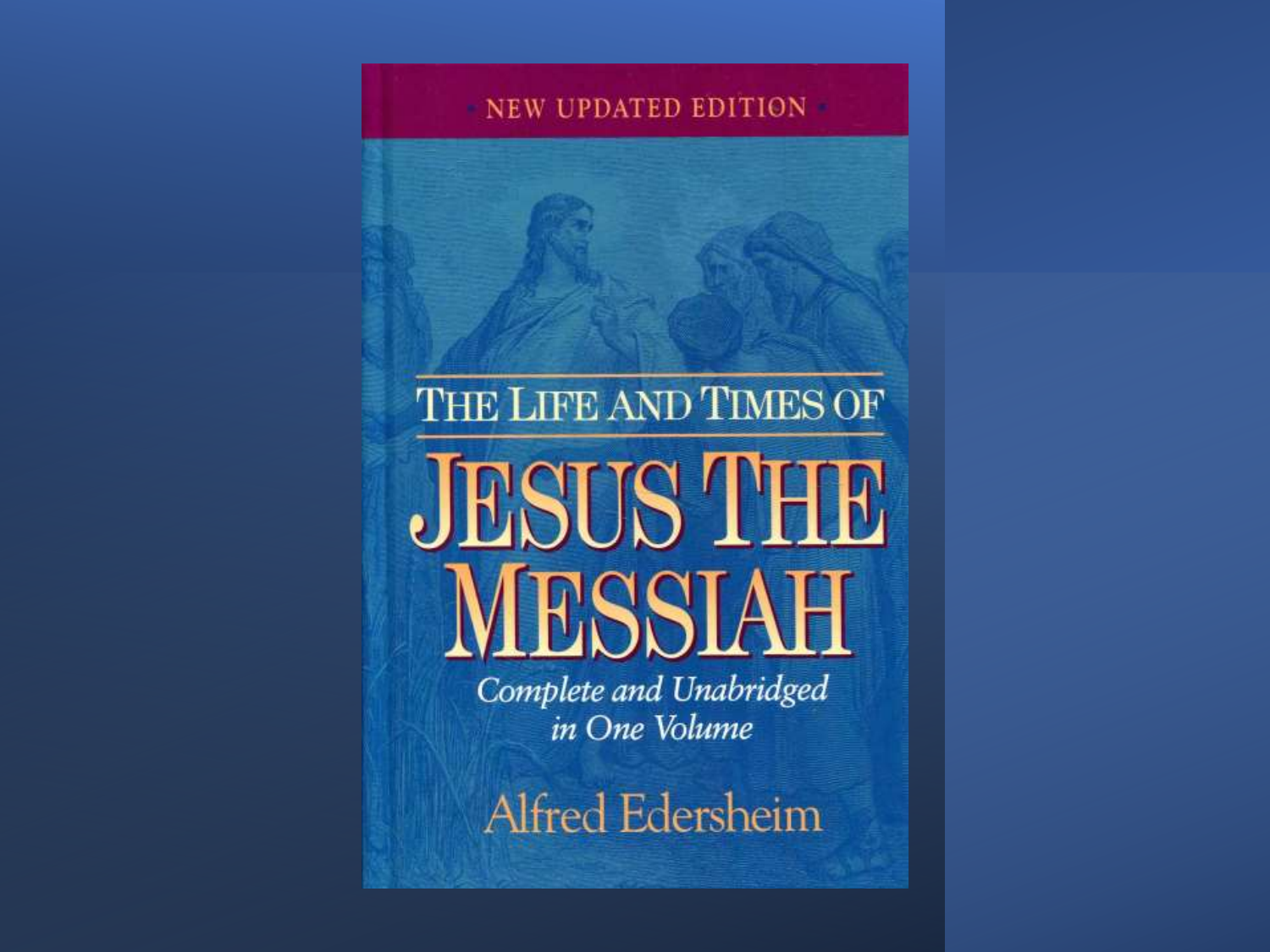



Complete and Unabridged in One Volume

**Alfred Edersheim**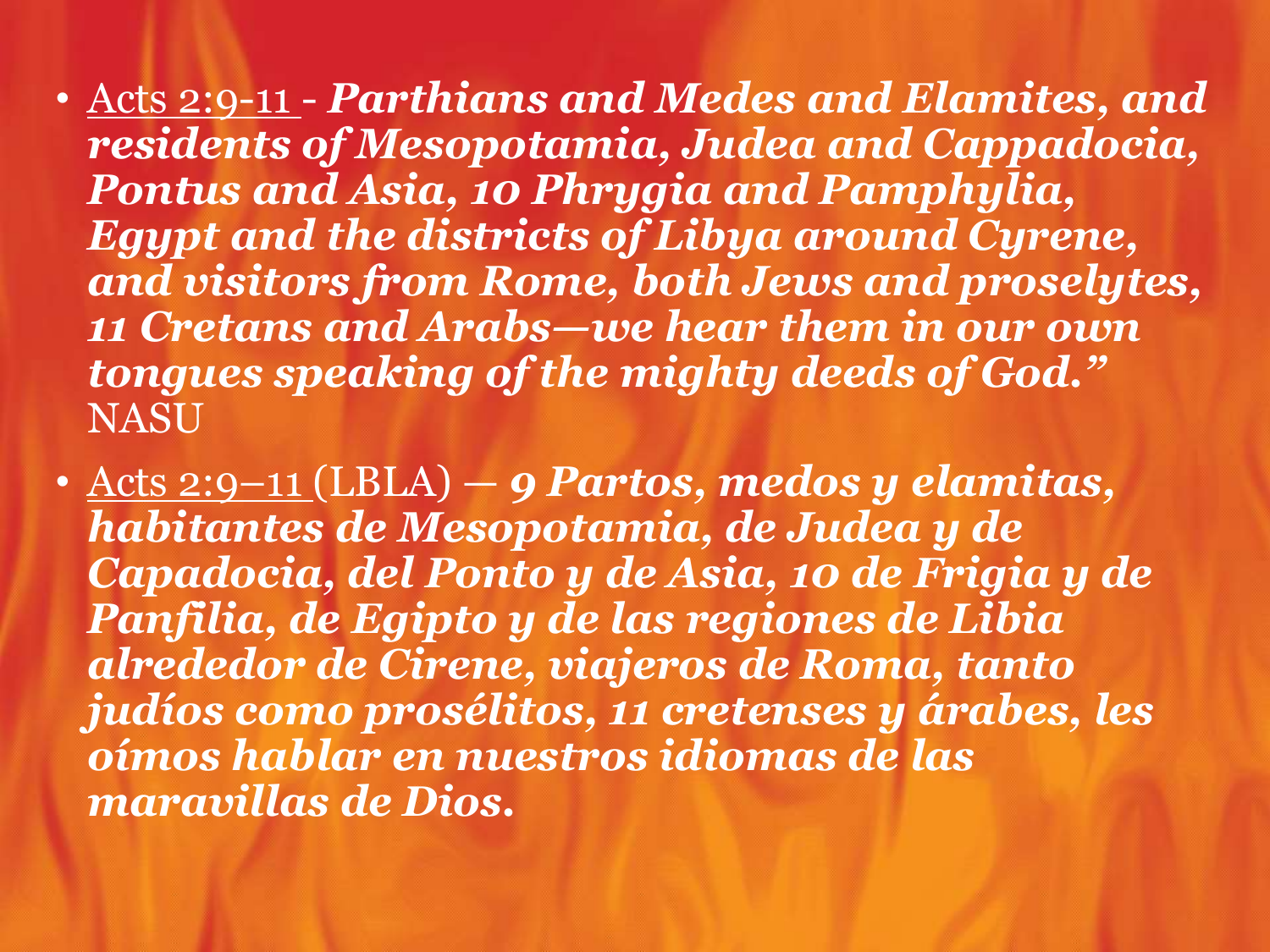- Acts 2:9-11 *Parthians and Medes and Elamites, and residents of Mesopotamia, Judea and Cappadocia, Pontus and Asia, 10 Phrygia and Pamphylia, Egypt and the districts of Libya around Cyrene, and visitors from Rome, both Jews and proselytes, 11 Cretans and Arabs—we hear them in our own tongues speaking of the mighty deeds of God."*  **NASU**
- Acts 2:9–11 (LBLA) *9 Partos, medos y elamitas, habitantes de Mesopotamia, de Judea y de Capadocia, del Ponto y de Asia, 10 de Frigia y de Panfilia, de Egipto y de las regiones de Libia alrededor de Cirene, viajeros de Roma, tanto judíos como prosélitos, 11 cretenses y árabes, les oímos hablar en nuestros idiomas de las maravillas de Dios.*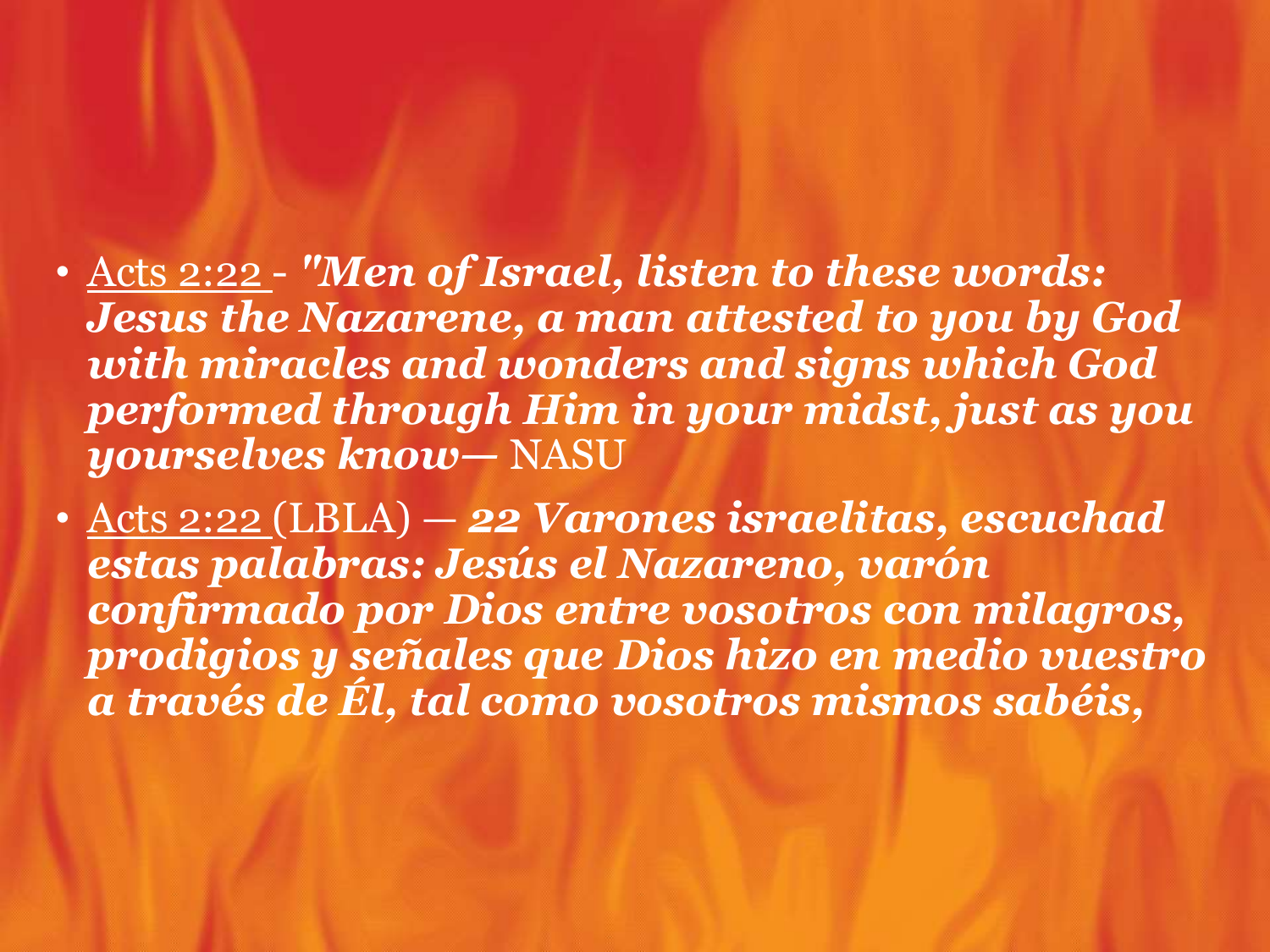• Acts 2:22 - *"Men of Israel, listen to these words: Jesus the Nazarene, a man attested to you by God with miracles and wonders and signs which God performed through Him in your midst, just as you yourselves know—* NASU

• Acts 2:22 (LBLA) — *22 Varones israelitas, escuchad estas palabras: Jesús el Nazareno, varón confirmado por Dios entre vosotros con milagros, prodigios y señales que Dios hizo en medio vuestro a través de Él, tal como vosotros mismos sabéis,*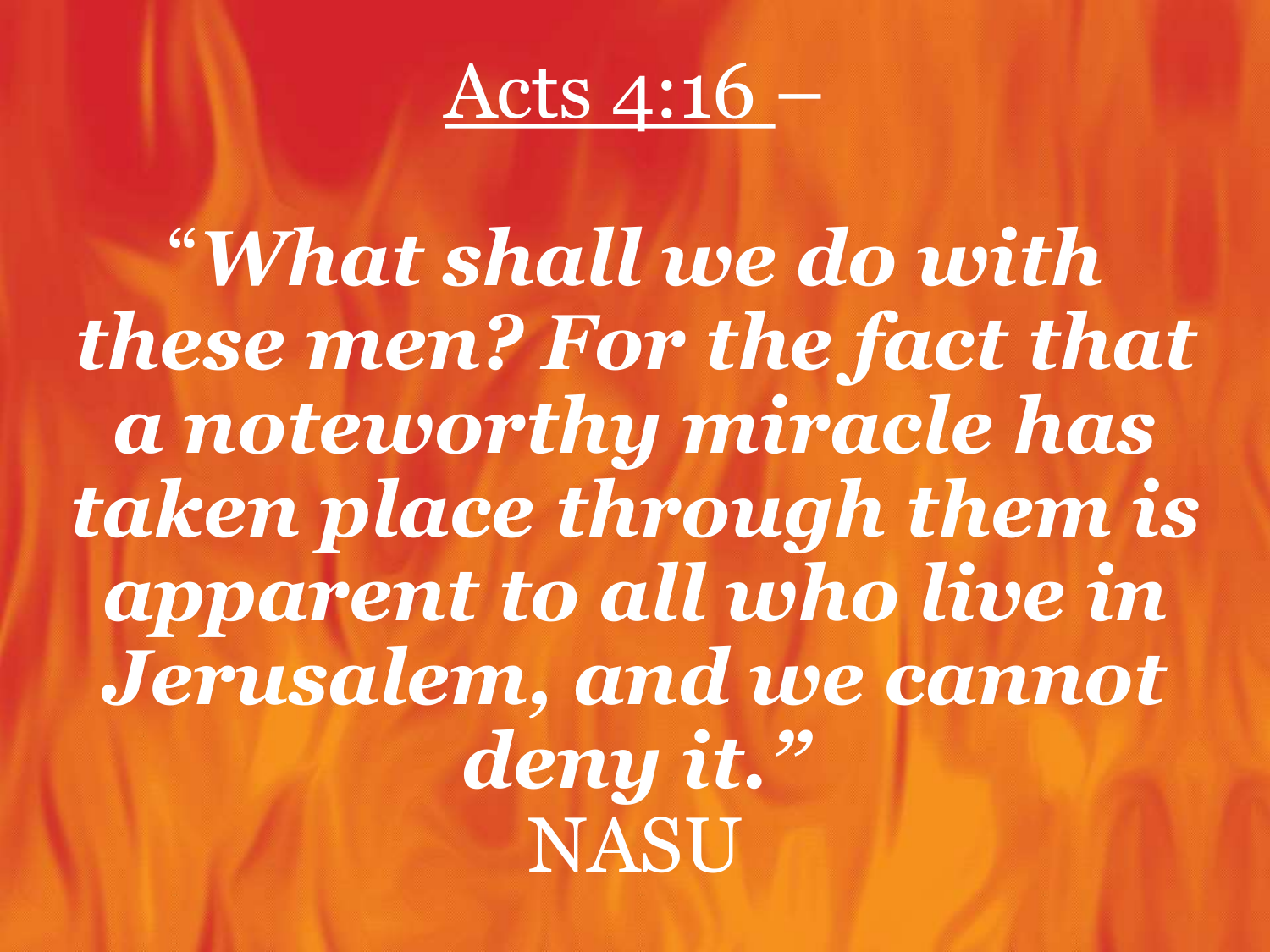#### Acts 4:16 –

"*What shall we do with these men? For the fact that a noteworthy miracle has taken place through them is apparent to all who live in Jerusalem, and we cannot deny it."*  NASU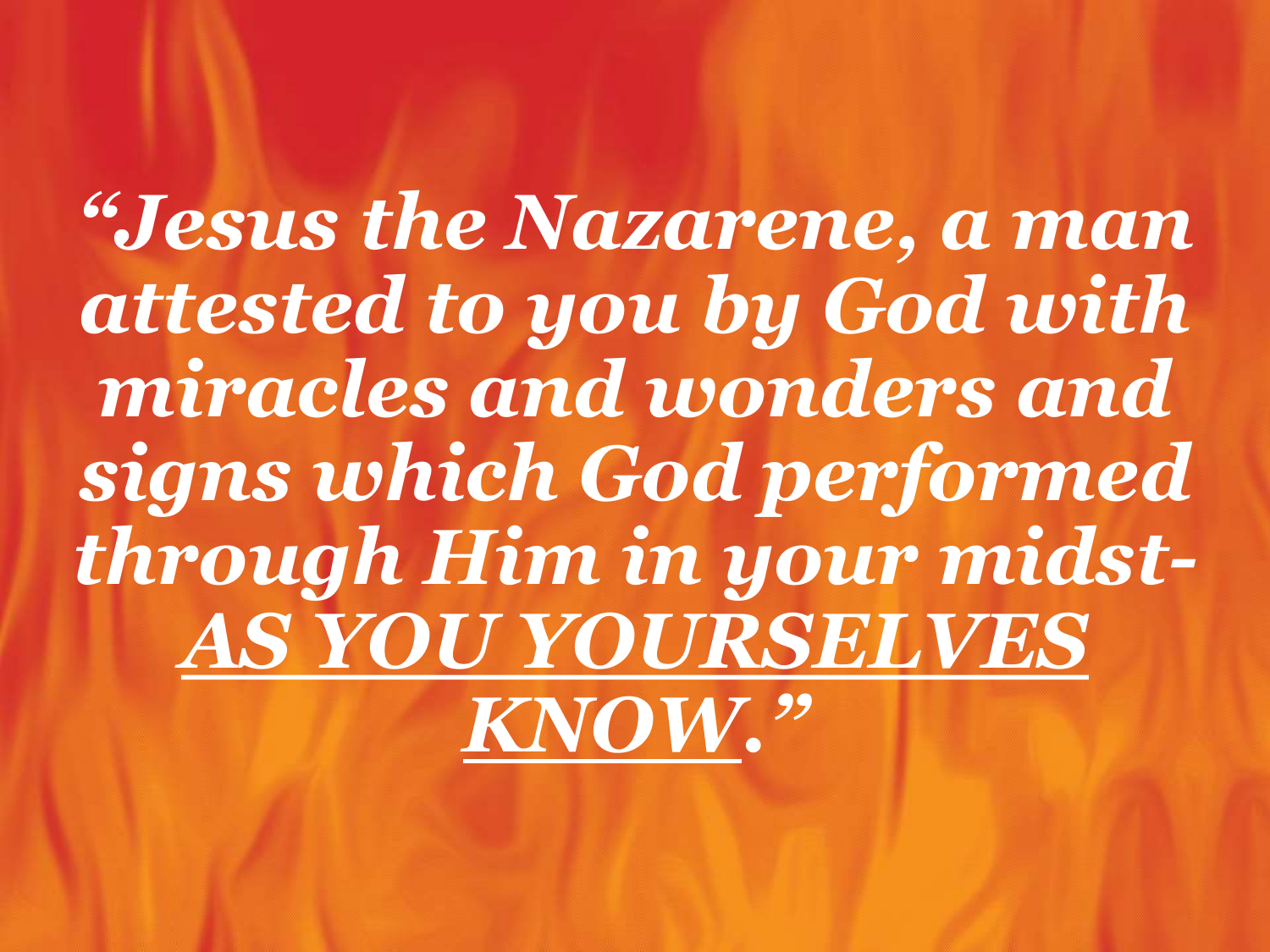*"Jesus the Nazarene, a man attested to you by God with miracles and wonders and signs which God performed through Him in your midst-AS YOU YOURSELVES KNOW."*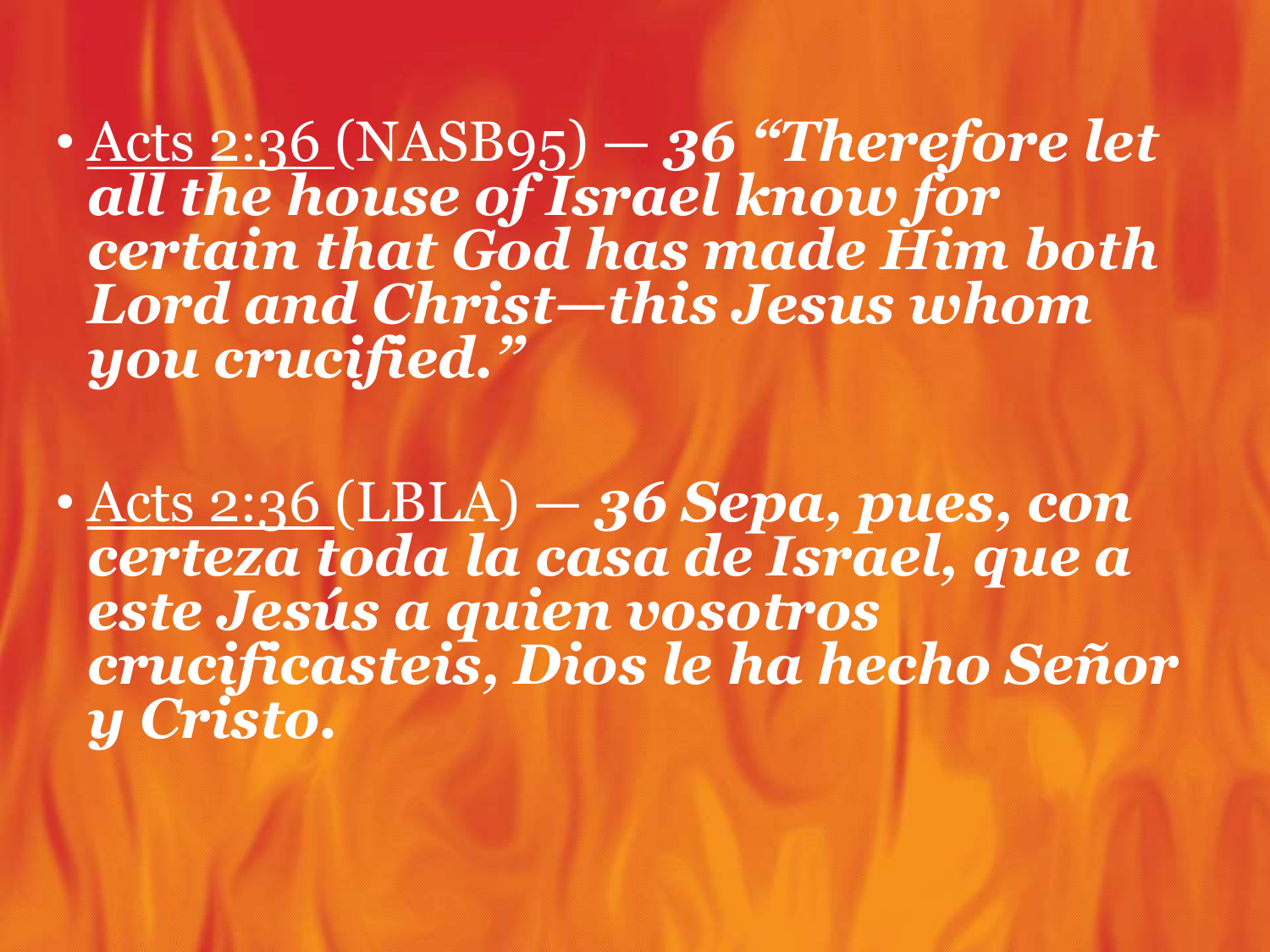- Acts 2:36 (NASB95) *36 "Therefore let all the house of Israel know for certain that God has made Him both Lord and Christ—this Jesus whom you crucified."*
- Acts 2:36 (LBLA) *36 Sepa, pues, con certeza toda la casa de Israel, que a este Jesús a quien vosotros crucificasteis, Dios le ha hecho Señor y Cristo.*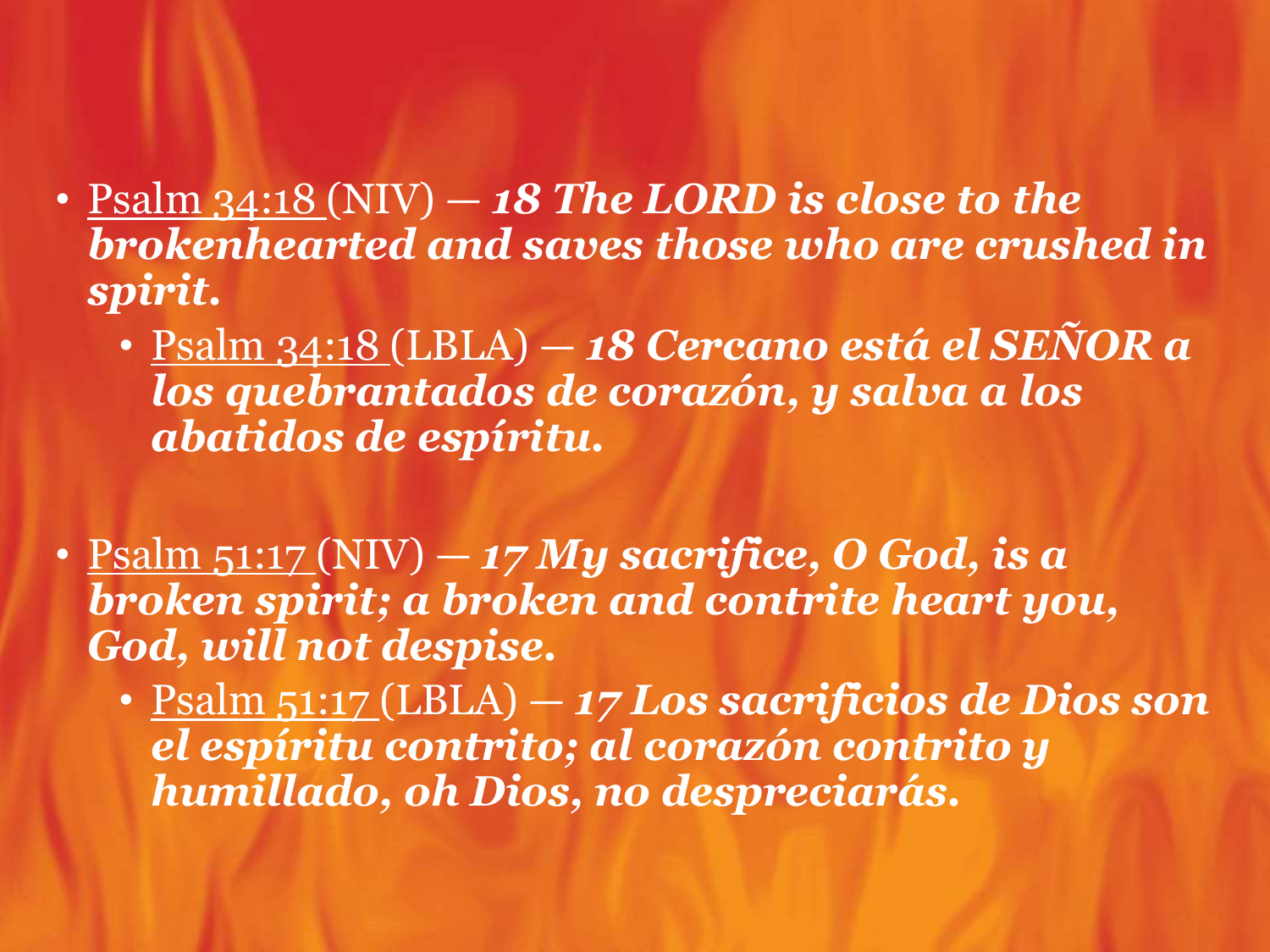- Psalm 34:18 (NIV) *18 The LORD is close to the brokenhearted and saves those who are crushed in spirit.*
	- Psalm 34:18 (LBLA) *18 Cercano está el SEÑOR a los quebrantados de corazón, y salva a los abatidos de espíritu.*
- Psalm 51:17 (NIV) *17 My sacrifice, O God, is a broken spirit; a broken and contrite heart you, God, will not despise.*
	- Psalm 51:17 (LBLA) *17 Los sacrificios de Dios son el espíritu contrito; al corazón contrito y humillado, oh Dios, no despreciarás.*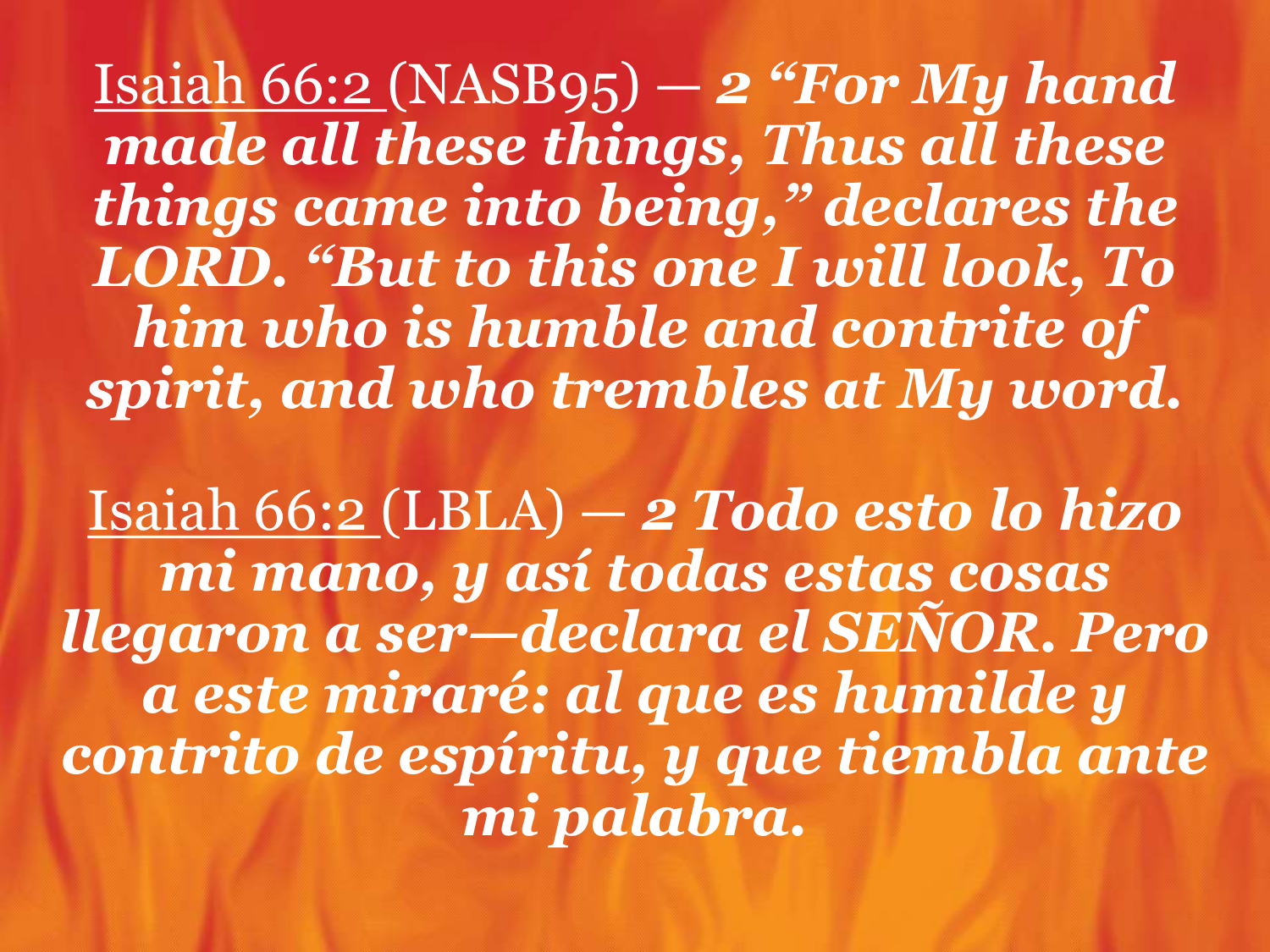Isaiah 66:2 (NASB95) — *2 "For My hand made all these things, Thus all these things came into being," declares the LORD. "But to this one I will look, To him who is humble and contrite of spirit, and who trembles at My word.*

Isaiah 66:2 (LBLA) — *2 Todo esto lo hizo mi mano, y así todas estas cosas llegaron a ser—declara el SEÑOR. Pero a este miraré: al que es humilde y contrito de espíritu, y que tiembla ante mi palabra.*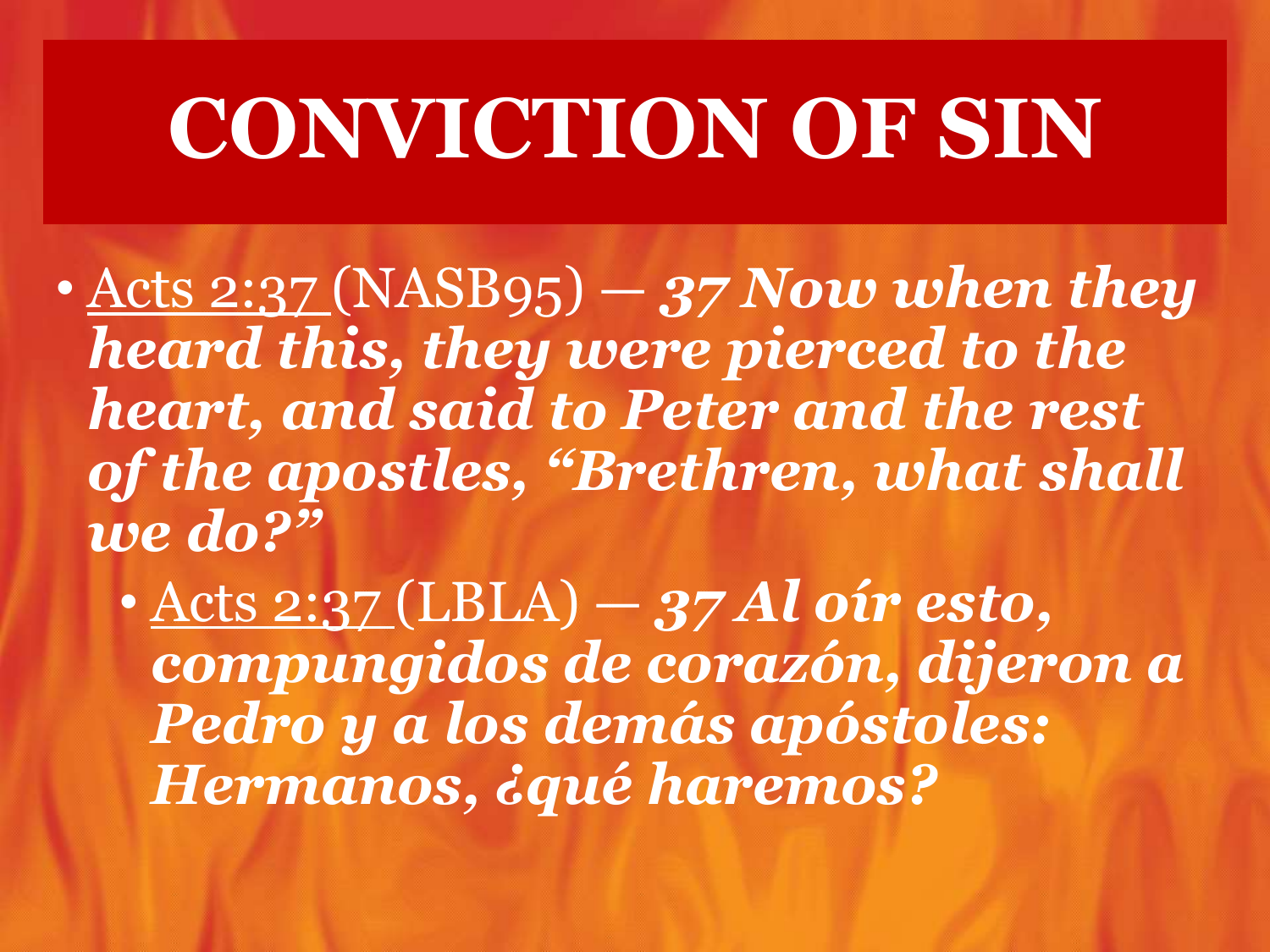# **CONVICTION OF SIN**

- Acts 2:37 (NASB95) *37 Now when they heard this, they were pierced to the heart, and said to Peter and the rest of the apostles, "Brethren, what shall we do?"*
	- Acts 2:37 (LBLA) *37 Al oír esto, compungidos de corazón, dijeron a Pedro y a los demás apóstoles: Hermanos, ¿qué haremos?*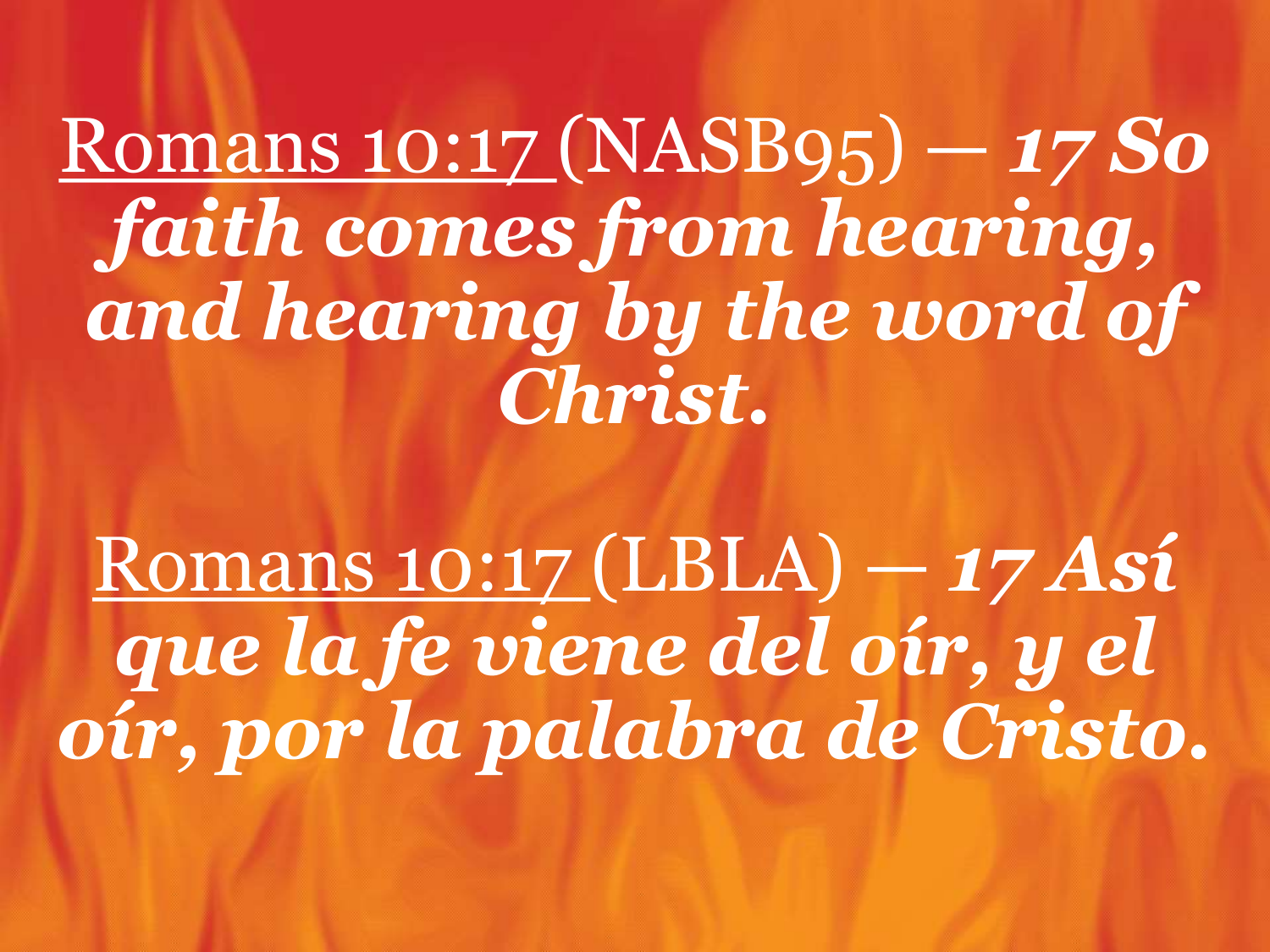Romans 10:17 (NASB95) — *17 So faith comes from hearing, and hearing by the word of Christ.*

Romans 10:17 (LBLA) — *17 Así que la fe viene del oír, y el oír, por la palabra de Cristo.*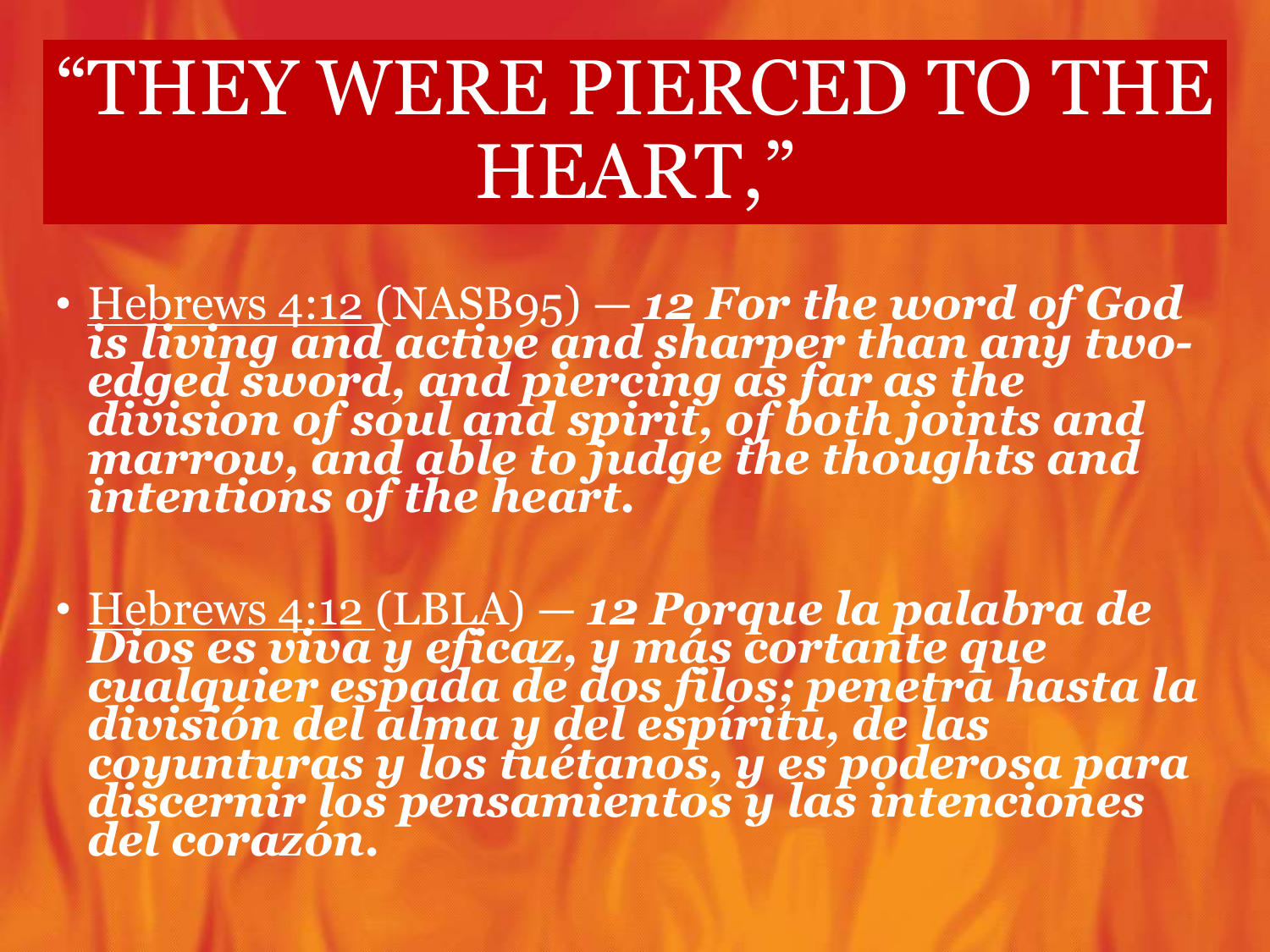### "THEY WERE PIERCED TO THE HEART,"

- Hebrews 4:12 (NASB95) *12 For the word of God is living and active and sharper than any twoedged sword, and piercing as far as the division of soul and spirit, of both joints and marrow, and able to judge the thoughts and intentions of the heart.*
- Hebrews 4:12 (LBLA) *12 Porque la palabra de Dios es viva y eficaz, y más cortante que cualquier espada de dos filos; penetra hasta la división del alma y del espíritu, de las coyunturas y los tuétanos, y es poderosa para discernir los pensamientos y las intenciones del corazón.*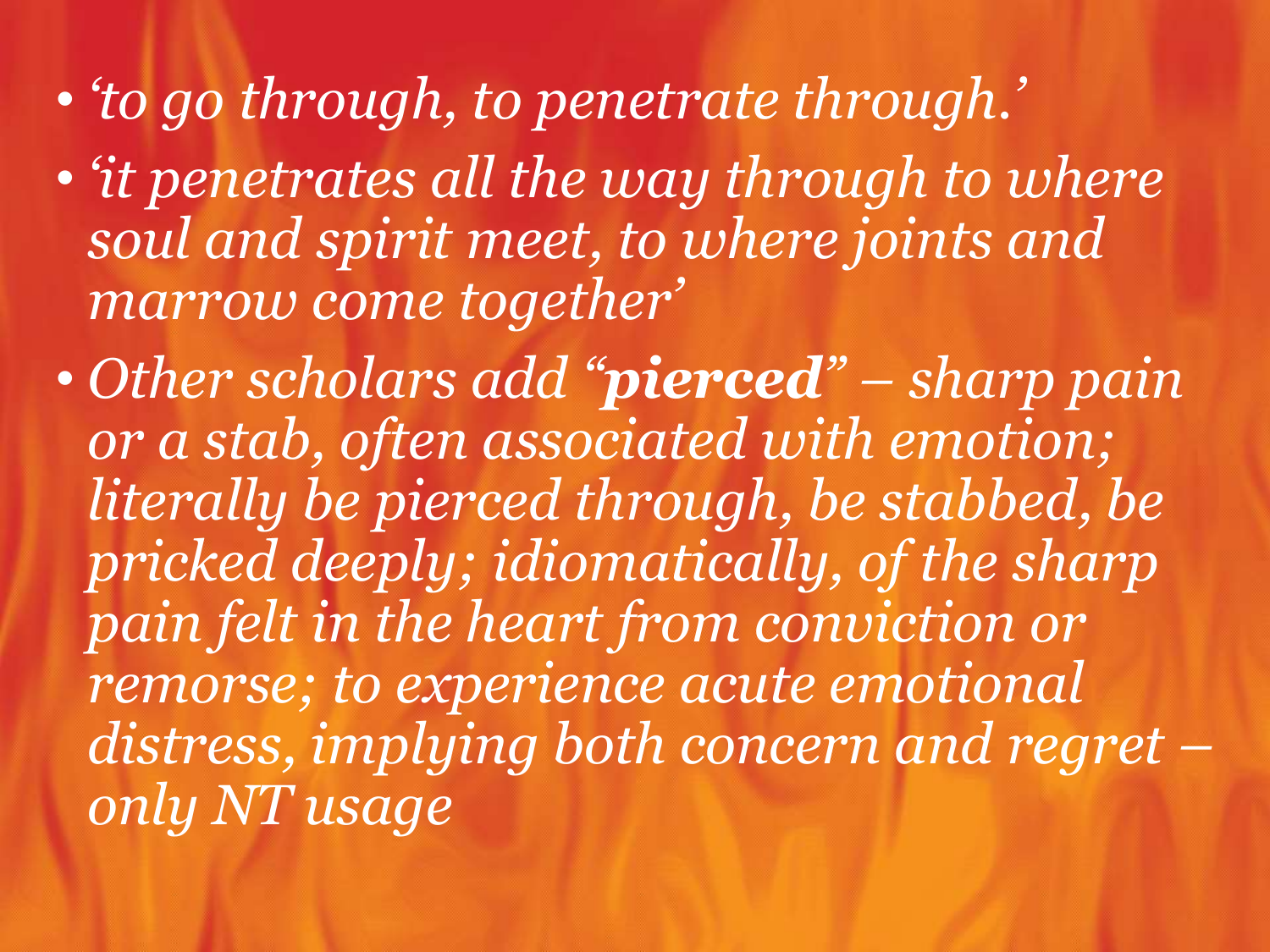- *'to go through, to penetrate through.'*
- *'it penetrates all the way through to where soul and spirit meet, to where joints and marrow come together'*
- *Other scholars add "pierced" – sharp pain or a stab, often associated with emotion; literally be pierced through, be stabbed, be pricked deeply; idiomatically, of the sharp pain felt in the heart from conviction or remorse; to experience acute emotional distress, implying both concern and regret – only NT usage*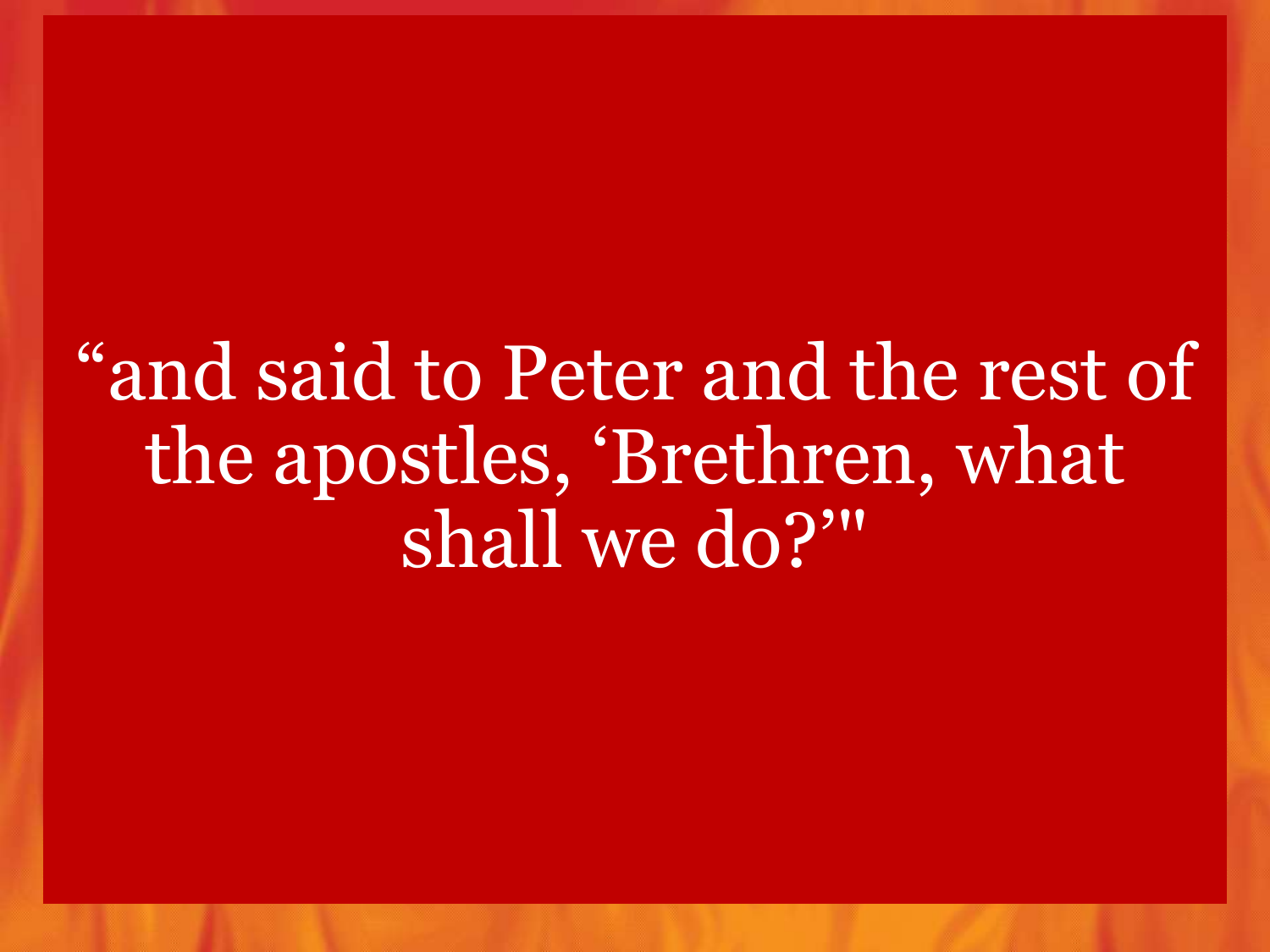#### "and said to Peter and the rest of the apostles, 'Brethren, what shall we do?'"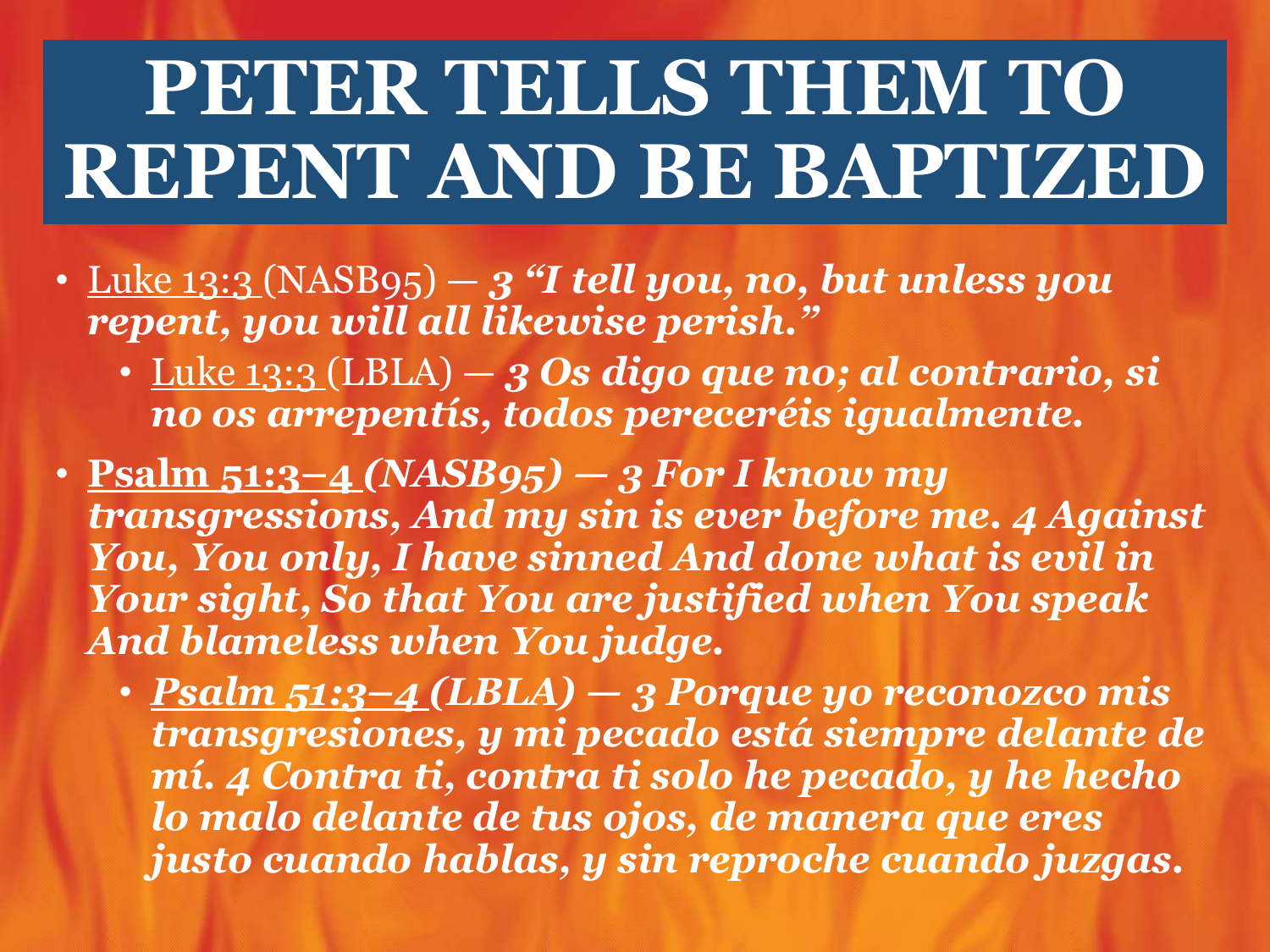### **PETER TELLS THEM TO REPENT AND BE BAPTIZED**

- Luke 13:3 (NASB95) *3 "I tell you, no, but unless you repent, you will all likewise perish."*
	- Luke 13:3 (LBLA) *3 Os digo que no; al contrario, si no os arrepentís, todos pereceréis igualmente.*
- **Psalm 51:3–4** *(NASB95) — 3 For I know my transgressions, And my sin is ever before me. 4 Against You, You only, I have sinned And done what is evil in Your sight, So that You are justified when You speak And blameless when You judge.*
	- *Psalm 51:3–4 (LBLA) — 3 Porque yo reconozco mis transgresiones, y mi pecado está siempre delante de mí. 4 Contra ti, contra ti solo he pecado, y he hecho lo malo delante de tus ojos, de manera que eres justo cuando hablas, y sin reproche cuando juzgas.*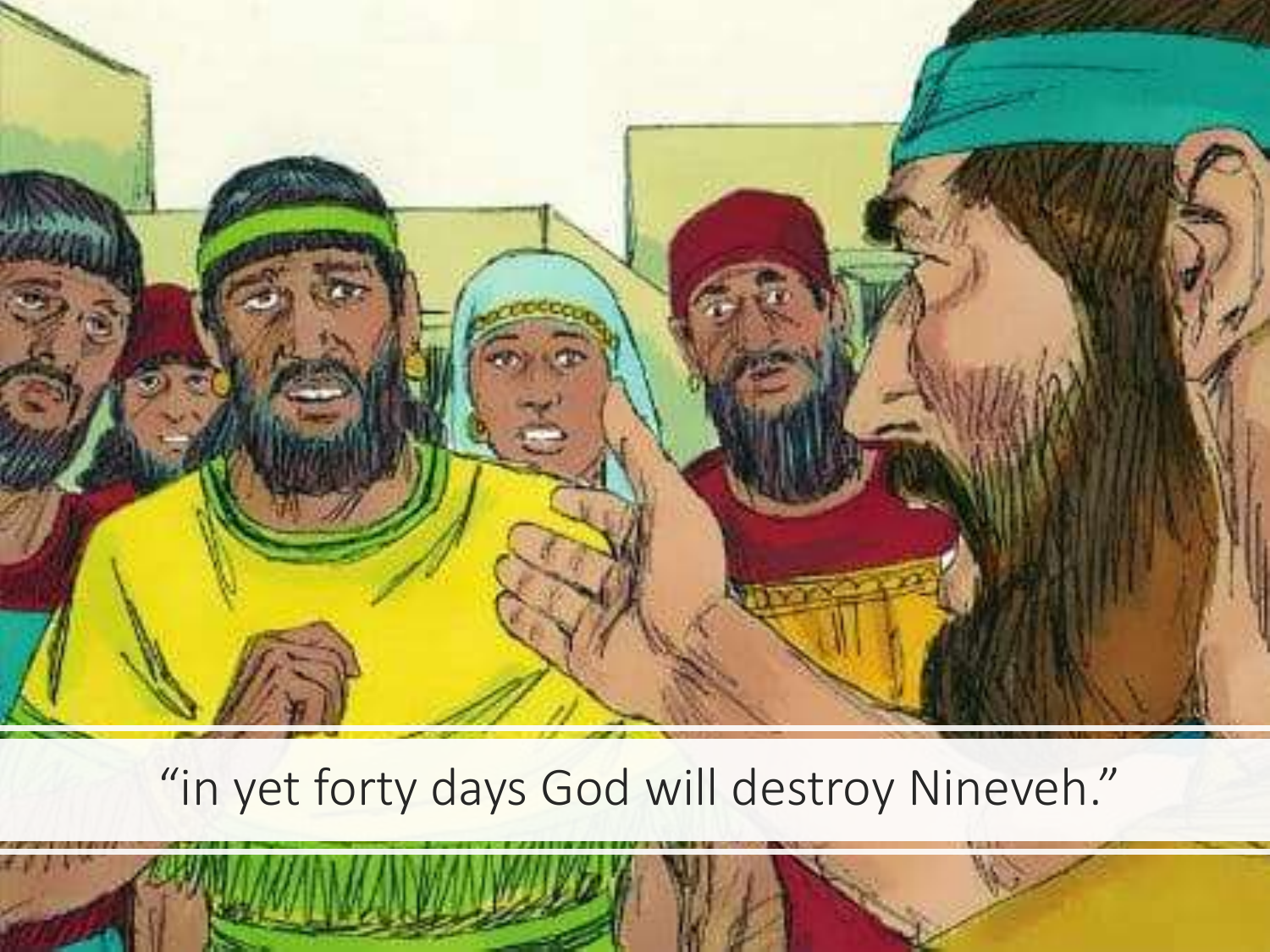

"in yet forty days God will destroy Nineveh."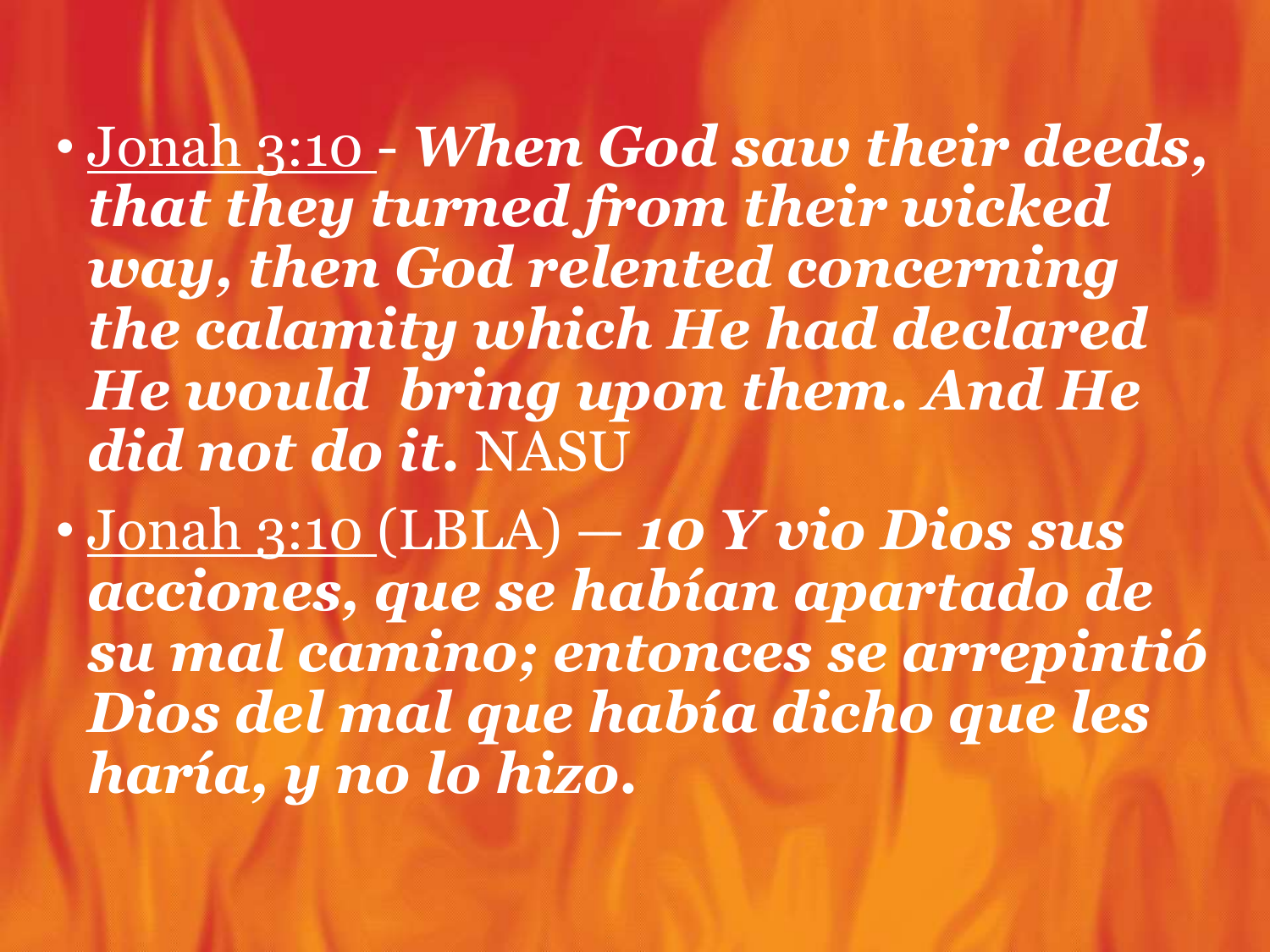- Jonah 3:10 *When God saw their deeds, that they turned from their wicked way, then God relented concerning the calamity which He had declared He would bring upon them. And He did not do it.* NASU
- Jonah 3:10 (LBLA) *10 Y vio Dios sus acciones, que se habían apartado de su mal camino; entonces se arrepintió Dios del mal que había dicho que les haría, y no lo hizo.*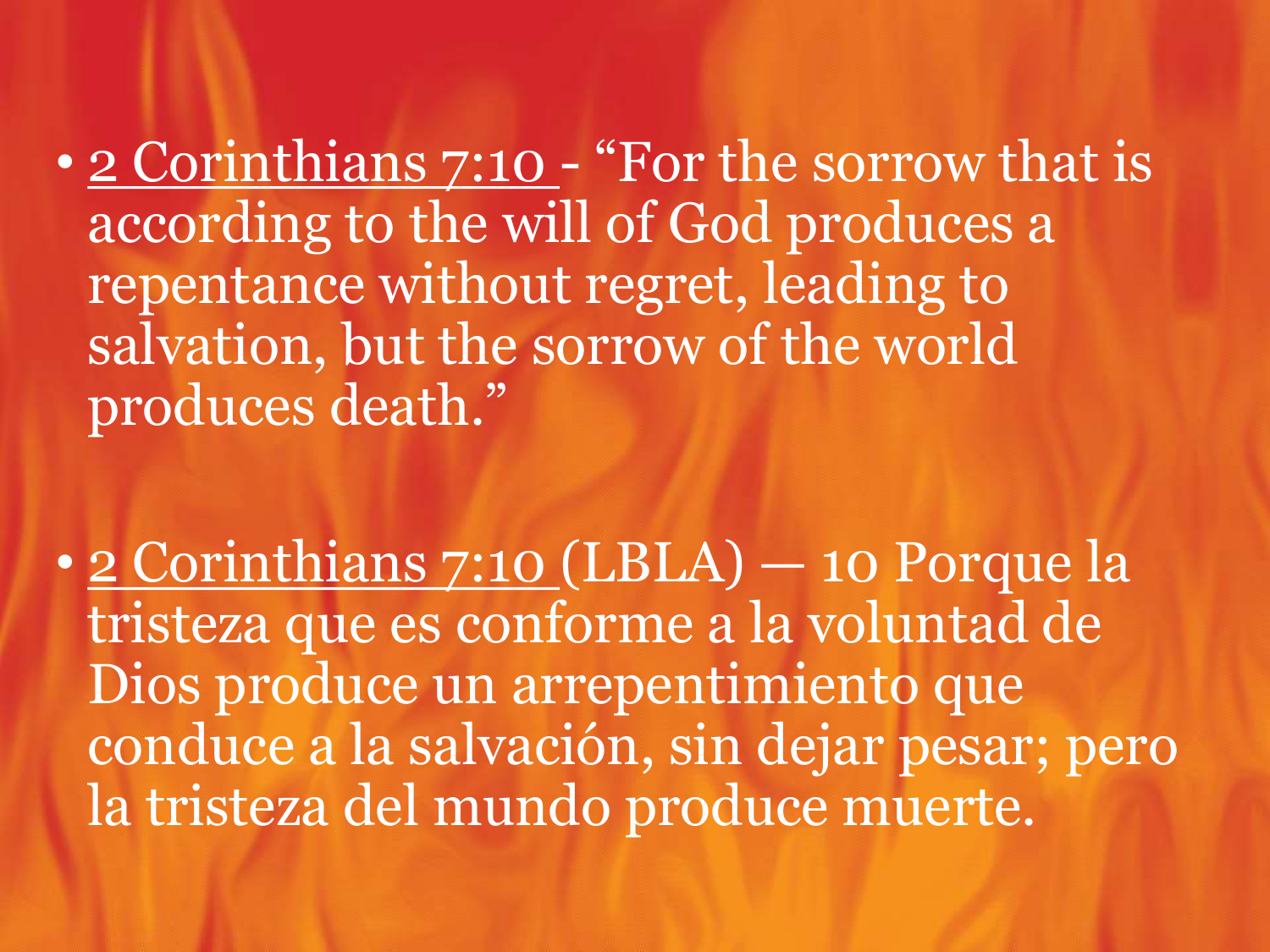• 2 Corinthians 7:10 - "For the sorrow that is according to the will of God produces a repentance without regret, leading to salvation, but the sorrow of the world produces death."

• 2 Corinthians 7:10 (LBLA) — 10 Porque la tristeza que es conforme a la voluntad de Dios produce un arrepentimiento que conduce a la salvación, sin dejar pesar; pero la tristeza del mundo produce muerte.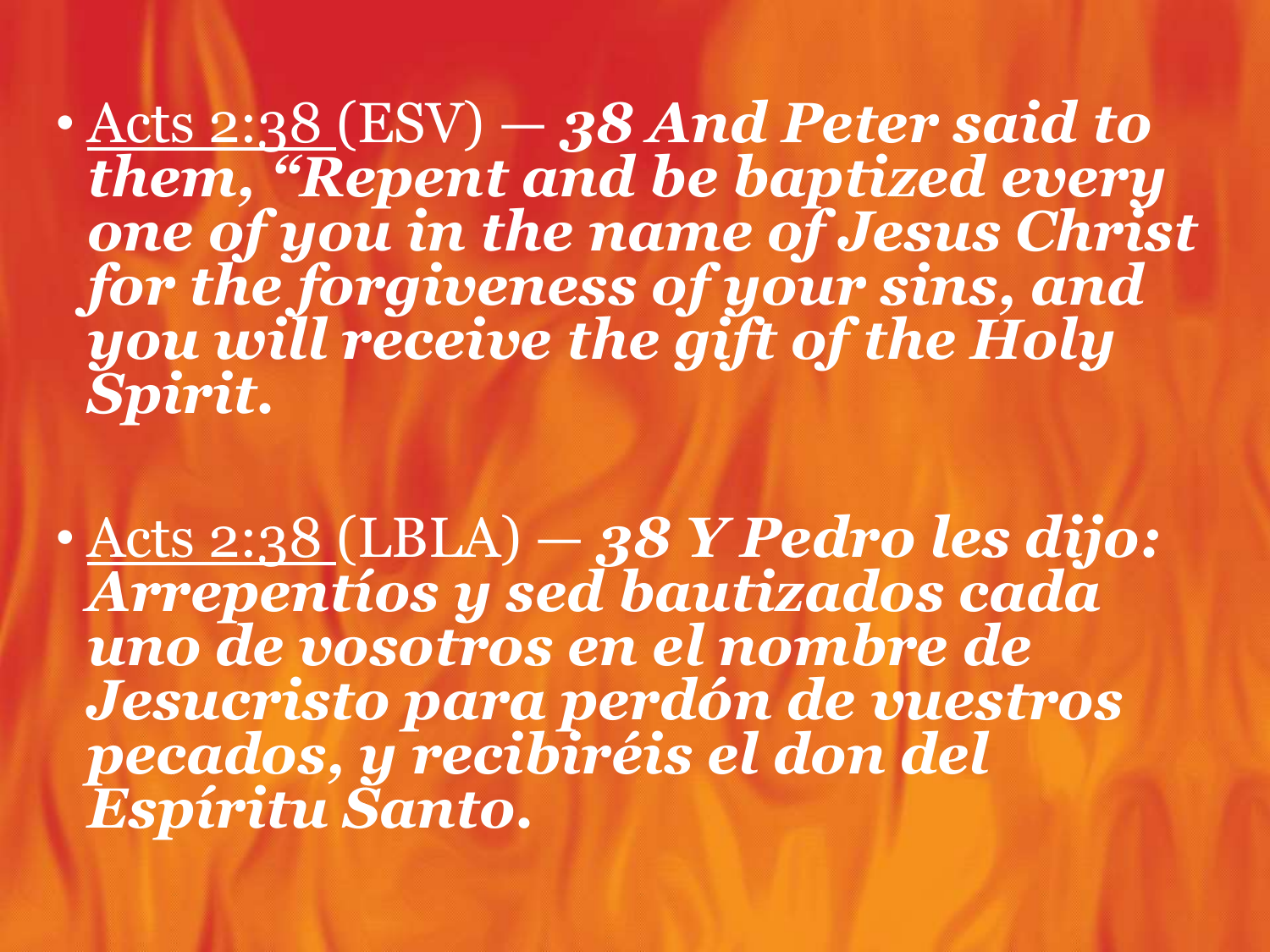- Acts 2:38 (ESV) *38 And Peter said to them, "Repent and be baptized every one of you in the name of Jesus Christ for the forgiveness of your sins, and you will receive the gift of the Holy Spirit.*
- Acts 2:38 (LBLA) *38 Y Pedro les dijo: Arrepentíos y sed bautizados cada uno de vosotros en el nombre de Jesucristo para perdón de vuestros pecados, y recibiréis el don del Espíritu Santo.*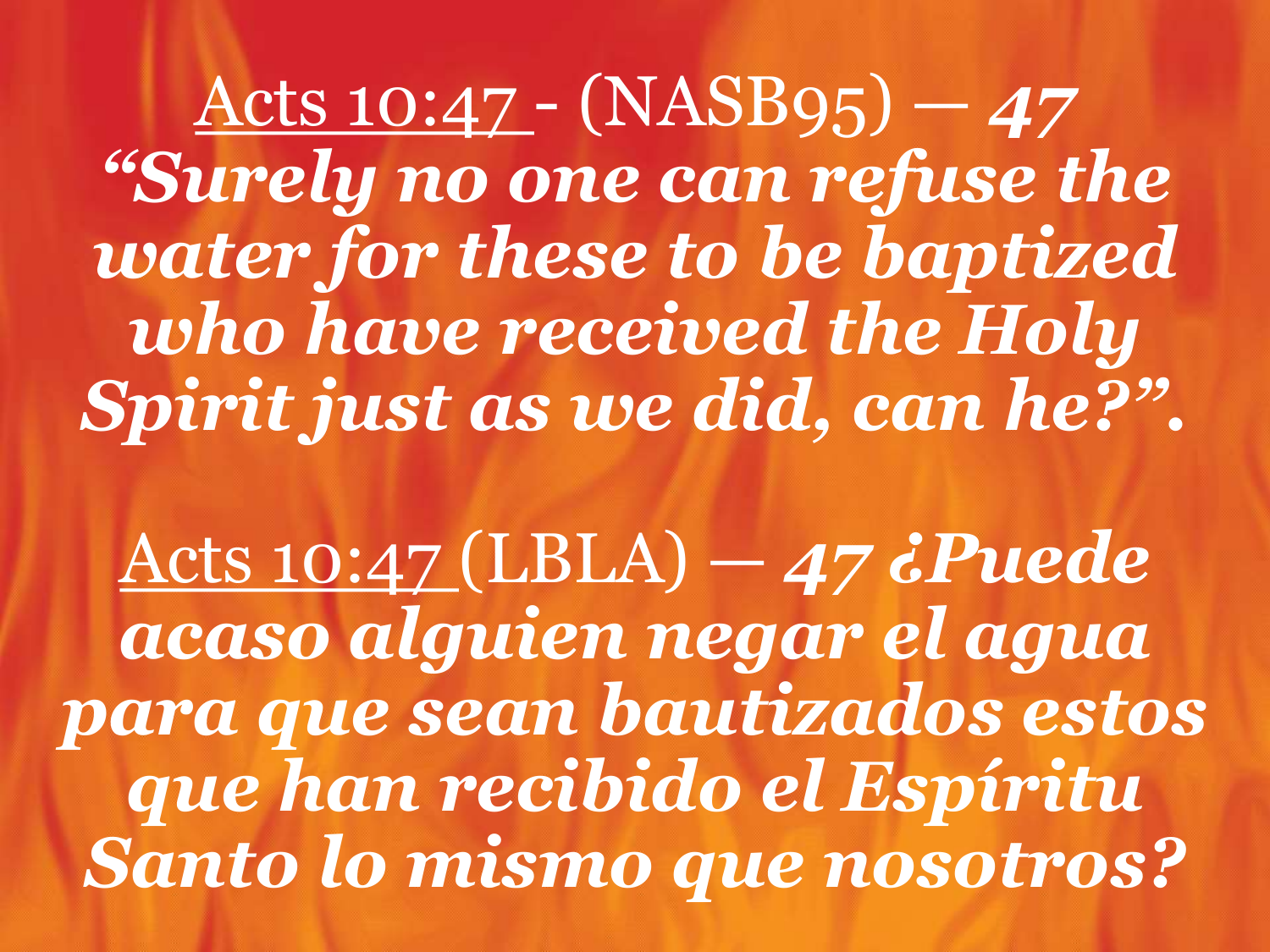Acts 10:47 - (NASB95) — *47 "Surely no one can refuse the water for these to be baptized who have received the Holy Spirit just as we did, can he?".* 

Acts 10:47 (LBLA) — *47 ¿Puede acaso alguien negar el agua para que sean bautizados estos que han recibido el Espíritu Santo lo mismo que nosotros?*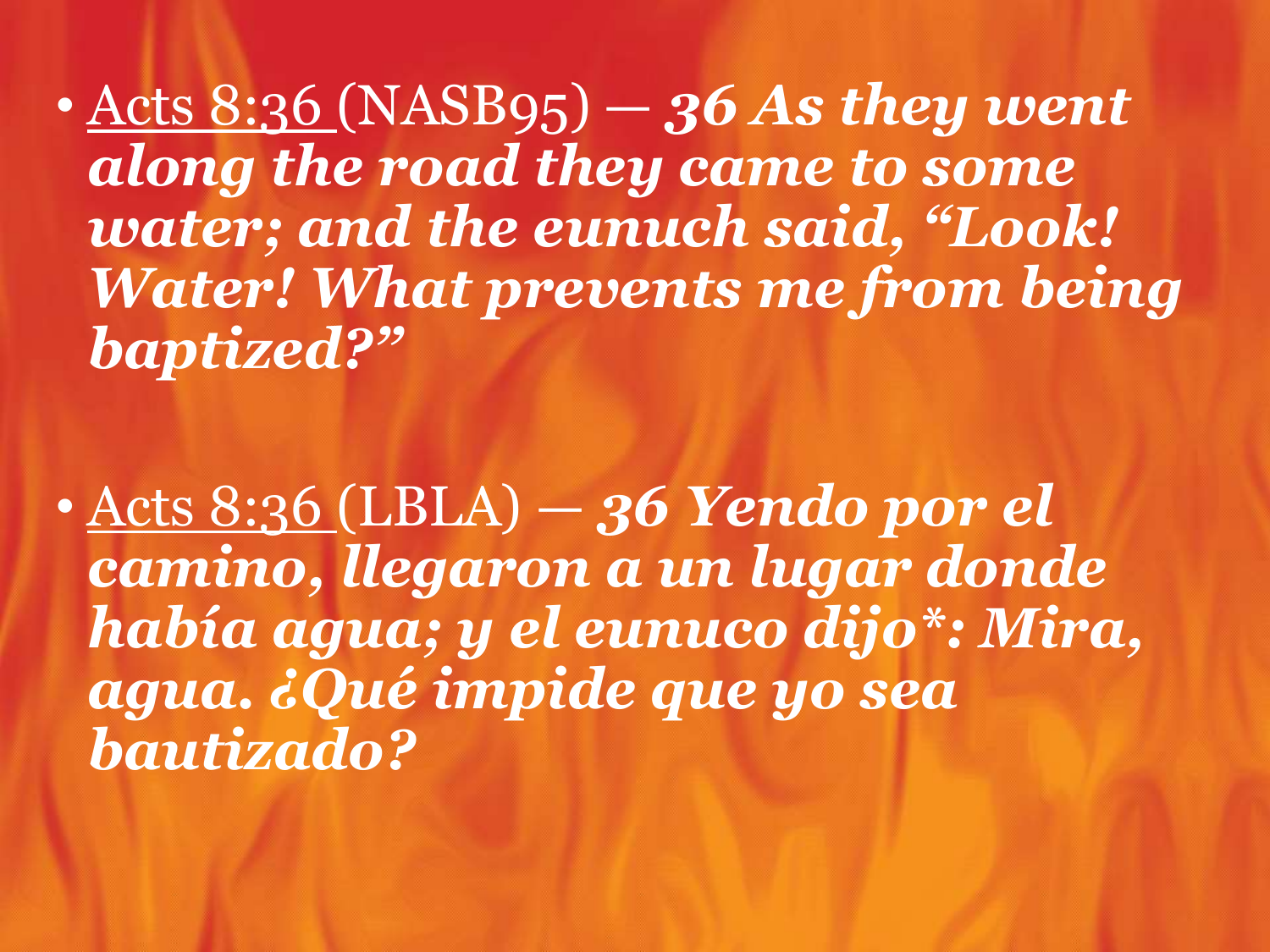• Acts 8:36 (NASB95) — *36 As they went along the road they came to some water; and the eunuch said, "Look! Water! What prevents me from being baptized?"*

• Acts 8:36 (LBLA) — *36 Yendo por el camino, llegaron a un lugar donde había agua; y el eunuco dijo\*: Mira, agua. ¿Qué impide que yo sea bautizado?*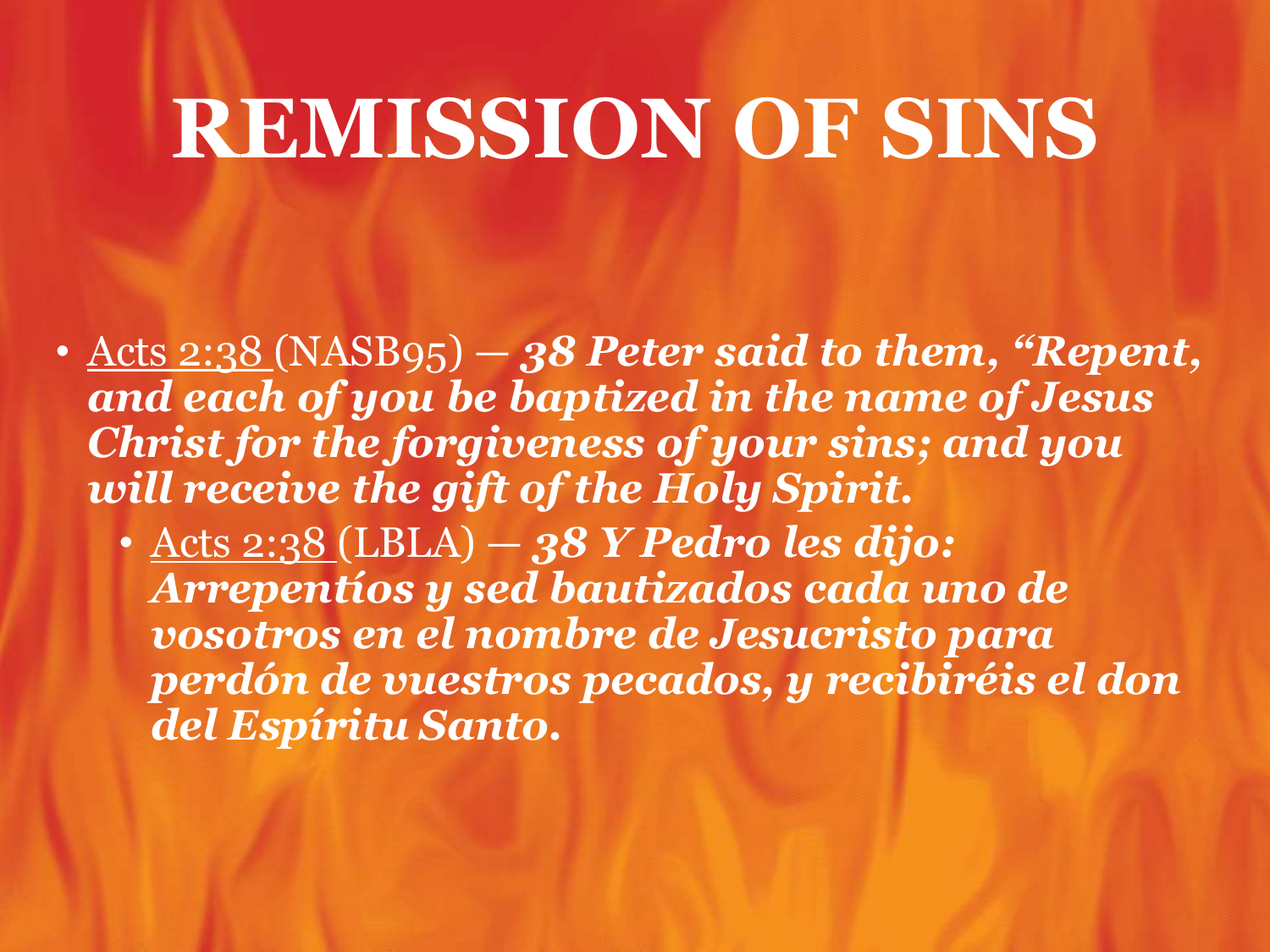### **REMISSION OF SINS**

- Acts 2:38 (NASB95) *38 Peter said to them, "Repent, and each of you be baptized in the name of Jesus Christ for the forgiveness of your sins; and you will receive the gift of the Holy Spirit.*
	- Acts 2:38 (LBLA) *38 Y Pedro les dijo: Arrepentíos y sed bautizados cada uno de vosotros en el nombre de Jesucristo para perdón de vuestros pecados, y recibiréis el don del Espíritu Santo.*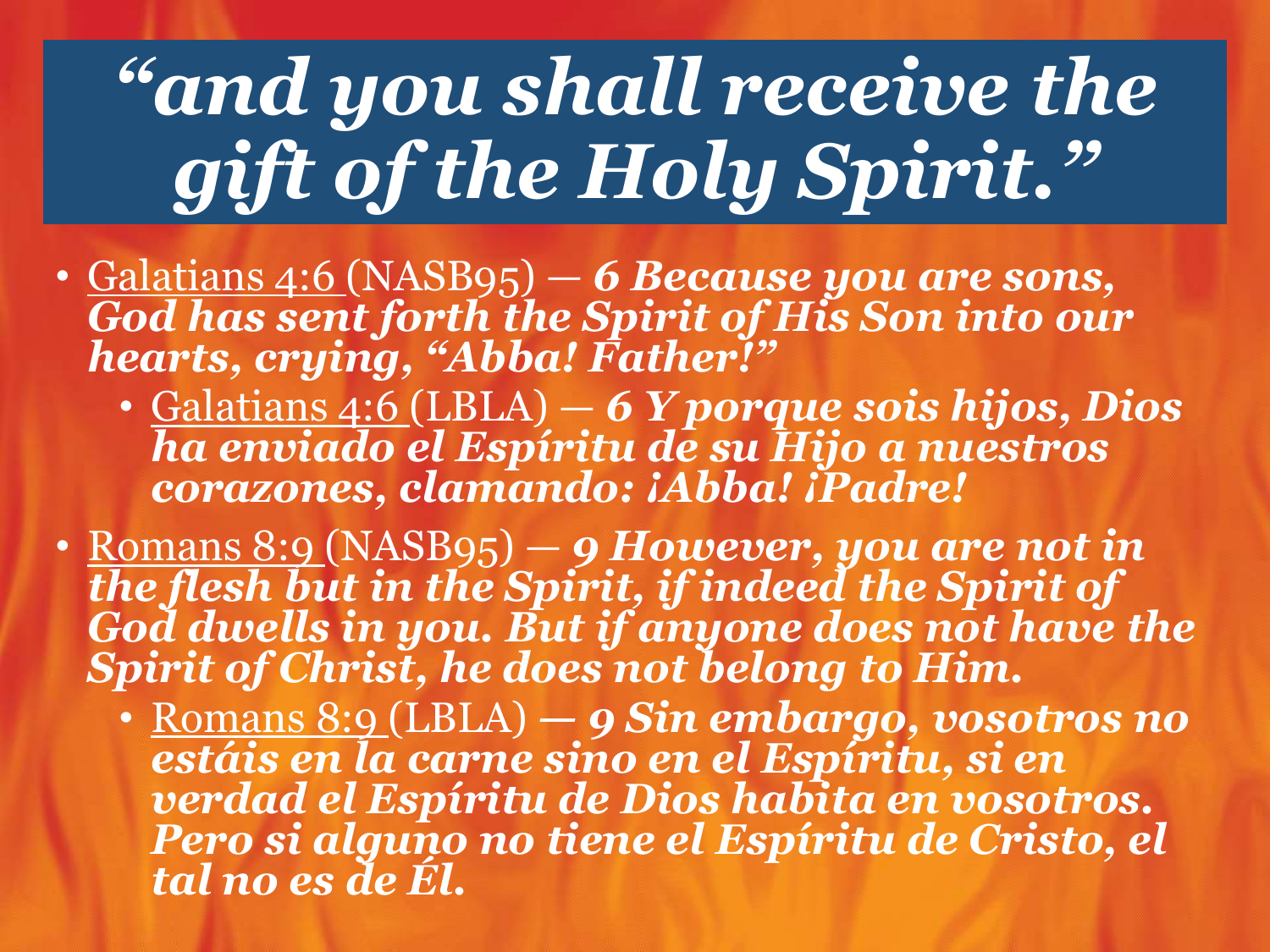# *"and you shall receive the gift of the Holy Spirit."*

- Galatians 4:6 (NASB95) *6 Because you are sons, God has sent forth the Spirit of His Son into our hearts, crying, "Abba! Father!"*
	- Galatians 4:6 (LBLA) *6 Y porque sois hijos, Dios ha enviado el Espíritu de su Hijo a nuestros corazones, clamando: ¡Abba! ¡Padre!*
- Romans 8:9 (NASB95) *9 However, you are not in the flesh but in the Spirit, if indeed the Spirit of God dwells in you. But if anyone does not have the Spirit of Christ, he does not belong to Him.*
	- Romans 8:9 (LBLA) *— 9 Sin embargo, vosotros no estáis en la carne sino en el Espíritu, si en verdad el Espíritu de Dios habita en vosotros. Pero si alguno no tiene el Espíritu de Cristo, el tal no es de Él.*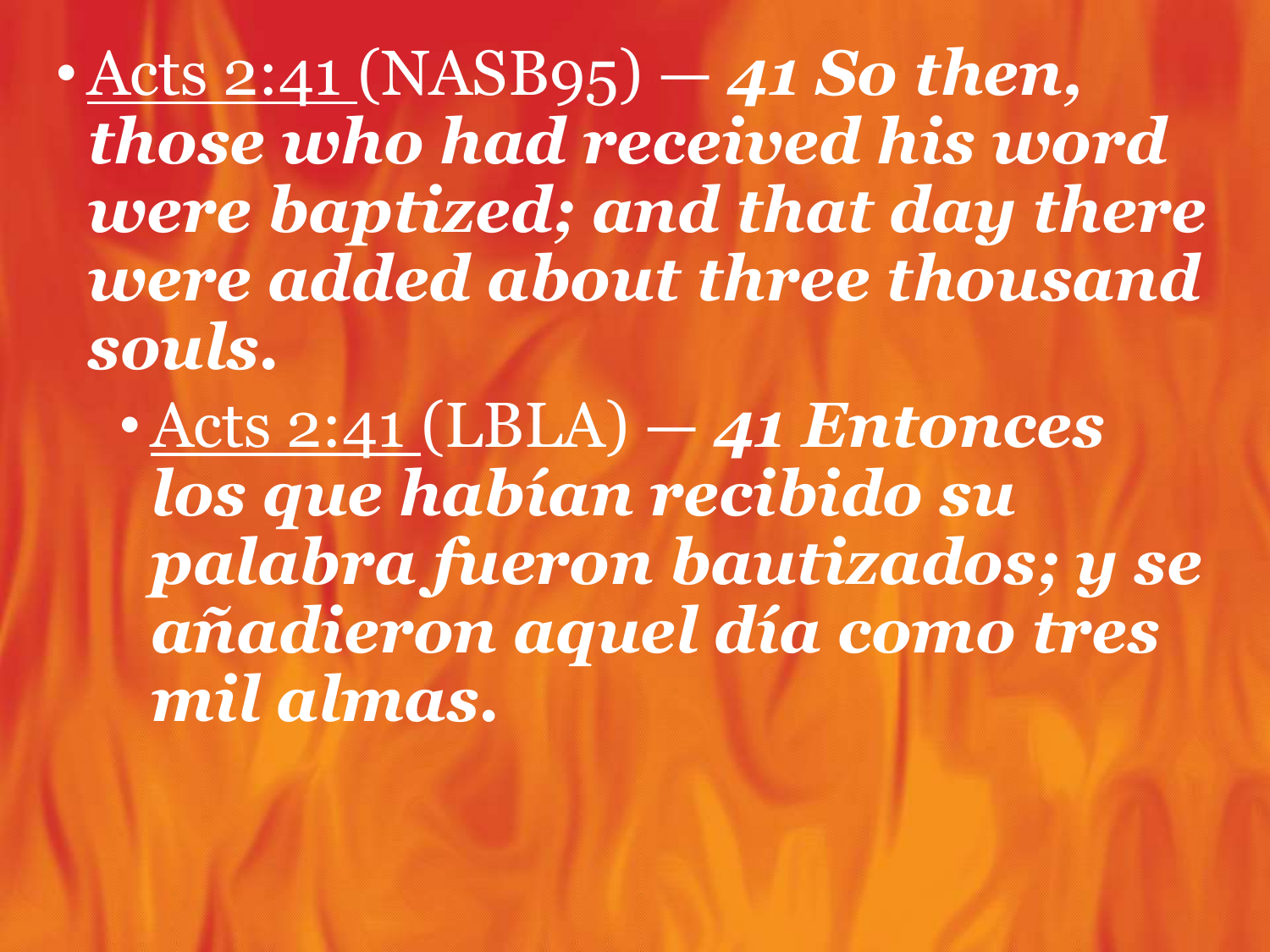•Acts 2:41 (NASB95) — *41 So then, those who had received his word were baptized; and that day there were added about three thousand souls.*

•Acts 2:41 (LBLA) — *41 Entonces los que habían recibido su palabra fueron bautizados; y se añadieron aquel día como tres mil almas.*